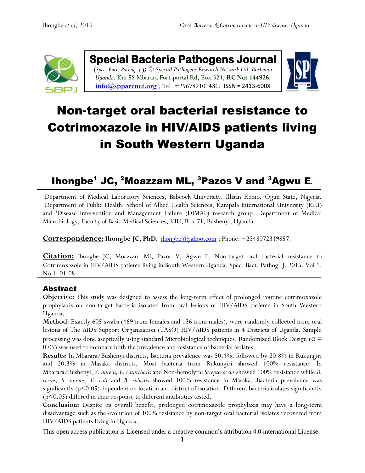

**Special Bacteria Pathogens Journal**  (*Spec. Bact. Pathog. j.***);** *© Special Pathogens Research Network Ltd, Bushenyi Uganda.* Km 58 Mbarara Fort-portal Rd, Box 324, **RC No: 144926.**  $\frac{\text{info}(a) \text{spparent.org}}{\text{info}(a) \text{spparent.org}}$ ; Tel: +256782101486; [ISSN = 2413-600X](https://www.google.com/url?sa=t&rct=j&q=&esrc=s&source=web&cd=1&cad=rja&uact=8&ved=0ahUKEwiFp5Ggge_XAhWpAsAKHapIARsQFggqMAA&url=http%3A%2F%2Fwww.spparenet.us%2FSBPJ%2Fscope%2F&usg=AOvVaw3D79hMirI6WLP01DNutMuL)



# Non-target oral bacterial resistance to Cotrimoxazole in HIV/AIDS patients living in South Western Uganda

# Ihongbe<sup>1</sup> JC, <sup>2</sup>Moazzam ML, <sup>3</sup>Pazos V and <sup>3</sup>Agwu E*.*

<sup>1</sup>Department of Medical Laboratory Sciences, Babcock University, Illisan Remo, Ogun State, Nigeria. <sup>2</sup>Department of Public Health, School of Allied Health Sciences, Kampala International University (KIU) and <sup>3</sup>Disease Intervention and Management Failure (DIMAF) research group, Department of Medical Microbiology, Faculty of Basic Medical Sciences, KIU, Box 71, Bushenyi, Uganda

**Correspondence: Ihongbe JC, PhD.** [ihongbe@yahoo.com](mailto:ihongbe@yahoo.com) ; Phone: +2348072319857.

**Citation:** Ihongbe JC, Moazzam MI, Pazos V, Agwu E. Non-target oral bacterial resistance to Cotrimoxazole in HIV/AIDS patients living in South Western Uganda. Spec. Bact. Pathog. J. 2015. Vol 1, No 1: 01-08.

# Abstract

**Objective:** This study was designed to assess the long-term effect of prolonged routine cotrimoxazole prophylaxis on non-target bacteria isolated from oral lesions of HIV/AIDS patients in South Western Uganda.

**Method:** Exactly 605 swabs (469 from females and 136 from males), were randomly collected from oral lesions of The AIDS Support Organization (TASO) HIV/AIDS patients in 4 Districts of Uganda. Sample processing was done aseptically using standard Microbiological techniques. Randomized Block Design ( $\alpha$  = 0.05) was used to compare both the prevalence and resistance of bacterial isolates.

**Results:** In Mbarara/Bushenyi districts, bacteria prevalence was 50.4%, followed by 20.8% in Rukungiri and 20.3% in Masaka districts. Most bacteria from Rukungiri showed 100% resistance. In Mbarara/Bushenyi, *S. aureus, B. catarrhalis* and Non-hemolytic *Streptococcus* showed 100% resistance while *B. cerius, S. aureus*, *E. coli* and *B. subtilis* showed 100% resistance in Masaka. Bacteria prevalence was significantly ( $p<0.05$ ) dependent on location and district of isolation. Different bacteria isolates significantly  $(p<0.05)$  differed in their response to different antibiotics tested.

**Conclusion:** Despite its overall benefit, prolonged cotrimoxazole prophylaxis may have a long-term disadvantage such as the evolution of 100% resistance by non-target oral bacterial isolates recovered from HIV/AIDS patients living in Uganda.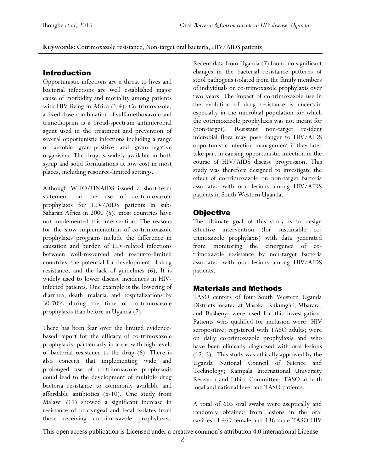**Keywords:** Cotrimoxazole resistance, Non-target oral bacteria, HIV/AIDS patients

#### Introduction

Opportunistic infections are a threat to lives and bacterial infections are well established major cause of morbidity and mortality among patients with HIV living in Africa (1-4). Co-trimoxazole, a fixed-dose combination of sulfamethoxazole and trimethoprim is a broad-spectrum antimicrobial agent used in the treatment and prevention of several opportunistic infections including a range of aerobic gram-positive and gram-negative organisms. The drug is widely available in both syrup and solid formulations at low cost in most places, including resource-limited settings.

Although WHO/UNAIDS issued a short-term statement on the use of co-trimoxazole prophylaxis for HIV/AIDS patients in sub-Saharan Africa in 2000 (5), most countries have not implemented this intervention. The reasons for the slow implementation of co-trimoxazole prophylaxis programs include the difference in causation and burden of HIV-related infections between well-resourced and resource-limited countries, the potential for development of drug resistance, and the lack of guidelines (6). It is widely used to lower disease incidences in HIVinfected patients. One example is the lowering of diarrhea, death, malaria, and hospitalizations by 30-70% during the time of co-trimoxazole prophylaxis than before in Uganda (7).

There has been fear over the limited evidencebased report for the efficacy of co-trimoxazole prophylaxis, particularly in areas with high levels of bacterial resistance to the drug (6). There is also concern that implementing wide and prolonged use of co-trimoxazole prophylaxis could lead to the development of multiple drug bacteria resistance to commonly available and affordable antibiotics (8-10). One study from Malawi (11) showed a significant increase in resistance of pharyngeal and fecal isolates from those receiving co-trimoxazole prophylaxes.

Recent data from Uganda (7) found no significant changes in the bacterial resistance patterns of stool pathogens isolated from the family members of individuals on co-trimoxazole prophylaxis over two years. The impact of co-trimoxazole use in the evolution of drug resistance is uncertain especially in the microbial population for which the cotrimoxazole prophylaxis was not meant for (non-target). Resistant non-target resident microbial flora may pose danger to HIV/AIDS opportunistic infection management if they later take part in causing opportunistic infection in the course of HIV/AIDS disease progression. This study was therefore designed to investigate the effect of co-trimoxazole on non-target bacteria associated with oral lesions among HIV/AIDS patients in South Western Uganda.

### **Objective**

The ultimate goal of this study is to design effective intervention (for sustainable cotrimoxazole prophylaxis) with data generated from monitoring the emergence of cotrimoxazole resistance by non-target bacteria associated with oral lesions among HIV/AIDS patients.

#### Materials and Methods

TASO centers of four South Western Uganda Districts located at Masaka, Rukungiri, Mbarara, and Bushenyi were used for this investigation. Patients who qualified for inclusion were: HIV seropositive; registered with TASO adults; were on daily co-trimoxazole prophylaxis and who have been clinically diagnosed with oral lesions (12, 3). This study was ethically approved by the Uganda National Council of Science and Technology; Kampala International University Research and Ethics Committee; TASO at both local and national level and TASO patients.

A total of 605 oral swabs were aseptically and randomly obtained from lesions in the oral cavities of 469 female and 136 male TASO HIV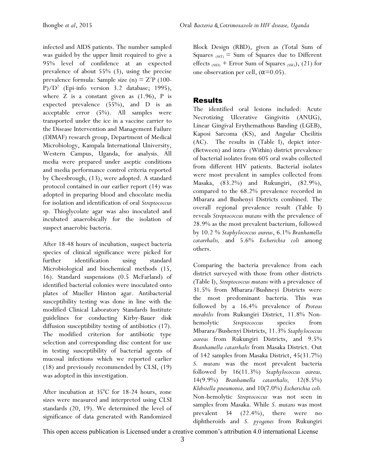infected and AIDS patients. The number sampled was guided by the upper limit required to give a 95% level of confidence at an expected prevalence of about 55% (3), using the precise prevalence formula: Sample size (n)  $= Z^2P$  (100-P)/D<sup>2</sup> (Epi-info version 3.2 database; 1995), where  $Z$  is a constant given as  $(1.96)$ , P is expected prevalence (55%), and D is an acceptable error (5%). All samples were transported under the ice in a vaccine carrier to the Disease Intervention and Management Failure (DIMAF) research group, Department of Medical Microbiology, Kampala International University, Western Campus, Uganda, for analysis. All media were prepared under aseptic conditions and media performance control criteria reported by Cheesbrough, (13), were adopted. A standard protocol contained in our earlier report (14) was adopted in preparing blood and chocolate media for isolation and identification of oral *Streptococcus* sp. Thioglycolate agar was also inoculated and incubated anaerobically for the isolation of suspect anaerobic bacteria.

After 18-48 hours of incubation, suspect bacteria species of clinical significance were picked for further identification using standard Microbiological and biochemical methods (15, 16). Standard suspensions (0.5 McFarland) of identified bacterial colonies were inoculated onto plates of Mueller Hinton agar. Antibacterial susceptibility testing was done in line with the modified Clinical Laboratory Standards Institute guidelines for conducting Kirby-Bauer disk diffusion susceptibility testing of antibiotics (17). The modified criterion for antibiotic type selection and corresponding disc content for use in testing susceptibility of bacterial agents of mucosal infections which we reported earlier (18) and previously recommended by CLSI, (19) was adopted in this investigation.

After incubation at  $35^{\circ}$ C for 18-24 hours, zone sizes were measured and interpreted using CLSI standards (20, 19). We determined the level of significance of data generated with Randomized Block Design (RBD), given as (Total Sum of Squares  $_{(SST)}$  = Sum of Squares due to Different effects  $_{(SSD)}$  + Error Sum of Squares  $_{(SSE)}$ ), (21) for one observation per cell,  $(\alpha=0.05)$ .

#### Results

The identified oral lesions included: Acute Necrotizing Ulcerative Gingivitis (ANUG), Linear Gingival Erythemathous Banding (LGEB), Kaposi Sarcoma (KS), and Angular Cheilitis (AC). The results in (Table I), depict inter- (Between) and intra- (Within) district prevalence of bacterial isolates from 605 oral swabs collected from different HIV patients. Bacterial isolates were most prevalent in samples collected from Masaka, (83.2%) and Rukungiri, (82.9%), compared to the 68.2% prevalence recorded in Mbarara and Bushenyi Districts combined. The overall regional prevalence result (Table I) reveals *Streptococcus mutans* with the prevalence of 28.9% as the most prevalent bacterium, followed by 10.2 % *Staphylococcus aureus*, 6.1% *Branhamella catarrhalis,* and 5.6% *Escherichia coli* among others.

Comparing the bacteria prevalence from each district surveyed with those from other districts (Table I), *Streptococcus mutans* with a prevalence of 31.5% from Mbarara/Bushneyi Districts were the most predominant bacteria. This was followed by a 16.4% prevalence of *Proteus mirabilis* from Rukungiri District, 11.8% Nonhemolytic *Streptococcus* species from Mbarara/Bushenyi Districts, 11.3% *Staphylococcus aureus* from Rukungiri Districts, and 9.5% *Branhamella catarrhalis* from Masaka District. Out of 142 samples from Masaka District, 45(31.7%) *S. mutans* was the most prevalent bacteria followed by 16(11.3%) *Staphylococcus aureus,* 14(9.9%) *Branhamella catarrhalis,* 12(8.5%) *Klebsiella pneumonia,* and 10(7.0%) *Escherichia coli.* Non-hemolytic *Streptococcus* was not seen in samples from Masaka. While *S. mutans* was most prevalent 34 (22.4%), there were no diphtheroids and *S. pyogenes* from Rukungiri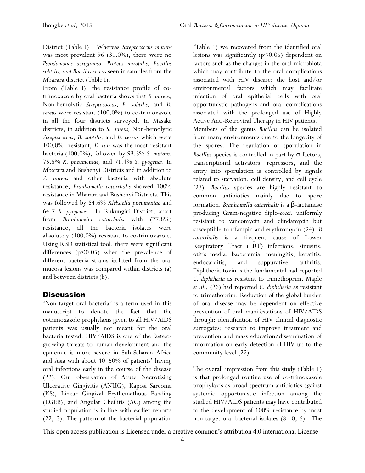District (Table I). Whereas *Streptococcus mutans* was most prevalent 96 (31.0%), there were no *Pseudomonas aeruginosa, Proteus mirabilis, Bacillus subtilis, and Bacillus cereus* seen in samples from the Mbarara district (Table I).

From (Table I), the resistance profile of cotrimoxazole by oral bacteria shows that *S. aureus,* Non-hemolytic *Streptococcus*, *B. subtilis,* and *B. cereus* were resistant (100.0%) to co-trimoxazole in all the four districts surveyed. In Masaka districts, in addition to *S. aureus,* Non-hemolytic *Streptococcus*, *B. subtilis,* and *B. cereus* which were 100.0% resistant, *E. coli* was the most resistant bacteria (100.0%), followed by 93.3% *S. mutans,* 75.5% *K. pneumoniae,* and 71.4% *S. pyogenes*. In Mbarara and Bushenyi Districts and in addition to *S. aureus* and other bacteria with absolute resistance, *Branhamella catarrhalis* showed 100% resistance in Mbarara and Bushenyi Districts. This was followed by 84.6% *Klebsiella pneumoniae* and 64.7 *S. pyogenes*. In Rukungiri District, apart from *Branhamella catarrhalis* with (77.8%) resistance, all the bacteria isolates were absolutely (100.0%) resistant to co-trimoxazole. Using RBD statistical tool, there were significant differences (p<0.05) when the prevalence of different bacteria strains isolated from the oral mucosa lesions was compared within districts (a) and between districts (b).

# **Discussion**

"Non-target oral bacteria" is a term used in this manuscript to denote the fact that the cotrimoxazole prophylaxis given to all HIV/AIDS patients was usually not meant for the oral bacteria tested. HIV/AIDS is one of the fastestgrowing threats to human development and the epidemic is more severe in Sub-Saharan Africa and Asia with about 40–50% of patients' having oral infections early in the course of the disease (22). Our observation of Acute Necrotizing Ulcerative Gingivitis (ANUG), Kaposi Sarcoma (KS), Linear Gingival Erythemathous Banding (LGEB), and Angular Cheilitis (AC) among the studied population is in line with earlier reports (22, 3). The pattern of the bacterial population (Table 1) we recovered from the identified oral lesions was significantly  $(p<0.05)$  dependent on factors such as the changes in the oral microbiota which may contribute to the oral complications associated with HIV disease; the host and/or environmental factors which may facilitate infection of oral epithelial cells with oral opportunistic pathogens and oral complications associated with the prolonged use of Highly Active Anti-Retroviral Therapy in HIV patients. Members of the genus *Bacillus* can be isolated from many environments due to the longevity of the spores. The regulation of sporulation in *Bacillus* species is controlled in part by σ-factors, transcriptional activators, repressors, and the entry into sporulation is controlled by signals related to starvation, cell density, and cell cycle (23). *Bacillus* species are highly resistant to common antibiotics mainly due to spore formation. *Branhamella catarrhalis* is a β-lactamase producing Gram-negative diplo-*cocci*, uniformly resistant to vancomycin and clindamycin but susceptible to rifampin and erythromycin (24). *B catarrhalis* is a frequent cause of Lower Respiratory Tract (LRT) infections, sinusitis, otitis media, bacteremia, meningitis, keratitis, endocarditis, and suppurative arthritis. Diphtheria toxin is the fundamental had reported *C. diphtheria* as resistant to trimethoprim. Maple *et al.,* (26) had reported *C. diphtheria* as resistant to trimethoprim. Reduction of the global burden of oral disease may be dependent on effective prevention of oral manifestations of HIV/AIDS through: identification of HIV clinical diagnostic surrogates; research to improve treatment and prevention and mass education/dissemination of information on early detection of HIV up to the community level (22).

The overall impression from this study (Table 1) is that prolonged routine use of co-trimoxazole prophylaxis as broad-spectrum antibiotics against systemic opportunistic infection among the studied HIV/AIDS patients may have contributed to the development of 100% resistance by most non-target oral bacterial isolates (8-10, 6). The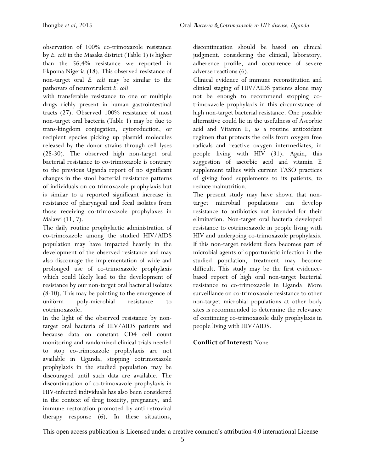observation of 100% co-trimoxazole resistance by *E. coli* in the Masaka district (Table 1) is higher than the 56.4% resistance we reported in Ekpoma Nigeria (18). This observed resistance of non-target oral *E. coli* may be similar to the pathovars of neurovirulent *E. coli*

with transferable resistance to one or multiple drugs richly present in human gastrointestinal tracts (27). Observed 100% resistance of most non-target oral bacteria (Table 1) may be due to trans-kingdom conjugation, cytoreduction, or recipient species picking up plasmid molecules released by the donor strains through cell lyses (28-30). The observed high non-target oral bacterial resistance to co-trimoxazole is contrary to the previous Uganda report of no significant changes in the stool bacterial resistance patterns of individuals on co-trimoxazole prophylaxis but is similar to a reported significant increase in resistance of pharyngeal and fecal isolates from those receiving co-trimoxazole prophylaxes in Malawi (11, 7).

The daily routine prophylactic administration of co-trimoxazole among the studied HIV/AIDS population may have impacted heavily in the development of the observed resistance and may also discourage the implementation of wide and prolonged use of co-trimoxazole prophylaxis which could likely lead to the development of resistance by our non-target oral bacterial isolates (8-10). This may be pointing to the emergence of uniform poly-microbial resistance to cotrimoxazole.

In the light of the observed resistance by nontarget oral bacteria of HIV/AIDS patients and because data on constant CD4 cell count monitoring and randomized clinical trials needed to stop co-trimoxazole prophylaxis are not available in Uganda, stopping cotrimoxazole prophylaxis in the studied population may be discouraged until such data are available. The discontinuation of co-trimoxazole prophylaxis in HIV-infected individuals has also been considered in the context of drug toxicity, pregnancy, and immune restoration promoted by anti-retroviral therapy response (6). In these situations,

discontinuation should be based on clinical judgment, considering the clinical, laboratory, adherence profile, and occurrence of severe adverse reactions (6).

Clinical evidence of immune reconstitution and clinical staging of HIV/AIDS patients alone may not be enough to recommend stopping cotrimoxazole prophylaxis in this circumstance of high non-target bacterial resistance. One possible alternative could lie in the usefulness of Ascorbic acid and Vitamin E, as a routine antioxidant regimen that protects the cells from oxygen free radicals and reactive oxygen intermediates, in people living with HIV (31). Again, this suggestion of ascorbic acid and vitamin E supplement tallies with current TASO practices of giving food supplements to its patients, to reduce malnutrition.

The present study may have shown that nontarget microbial populations can develop resistance to antibiotics not intended for their elimination. Non-target oral bacteria developed resistance to cotrimoxazole in people living with HIV and undergoing co-trimoxazole prophylaxis. If this non-target resident flora becomes part of microbial agents of opportunistic infection in the studied population, treatment may become difficult. This study may be the first evidencebased report of high oral non-target bacterial resistance to co-trimoxazole in Uganda. More surveillance on co-trimoxazole resistance to other non-target microbial populations at other body sites is recommended to determine the relevance of continuing co-trimoxazole daily prophylaxis in people living with HIV/AIDS.

#### **Conflict of Interest:** None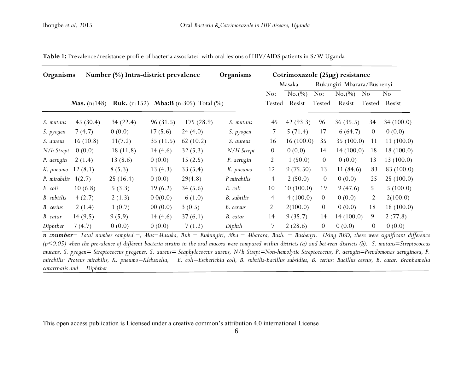| Organisms          | Number (%) Intra-district prevalence |          |          |                                                               | Organisms   | Cotrimoxazole (25µg) resistance |           |                            |               |                  |               |
|--------------------|--------------------------------------|----------|----------|---------------------------------------------------------------|-------------|---------------------------------|-----------|----------------------------|---------------|------------------|---------------|
|                    |                                      |          |          |                                                               |             | Masaka                          |           | Rukungiri Mbarara/Bushenyi |               |                  |               |
|                    |                                      |          |          |                                                               |             | No:                             | No.(%)    | No:                        | $No. (^{\%})$ | No               | No            |
|                    | <b>Mas.</b> $(n:148)$                |          |          | <b>Ruk.</b> (n:152) <b>Mba:B</b> (n:305) Total $\binom{0}{0}$ |             | Tested                          | Resist    | Tested                     | Resist        |                  | Tested Resist |
| S. mutans          | 45 $(30.4)$                          | 34(22.4) | 96(31.5) | 175(28.9)                                                     | S. mutans   | 45                              | 42(93.3)  | 96                         | 36(35.5)      | 34               | 34(100.0)     |
| S. pyogen          | 7(4.7)                               | 0(0.0)   | 17(5.6)  | 24(4.0)                                                       | S. pyogen   | 7                               | 5(71.4)   | 17                         | 6(64.7)       | $\overline{0}$   | 0(0.0)        |
| S. aureus          | 16(10.8)                             | 11(7.2)  | 35(11.5) | 62(10.2)                                                      | S. aureus   | 16                              | 16(100.0) | 35                         | 35 $(100.0)$  | 11               | 11(100.0)     |
| $N/h$ Strept       | 0(0.0)                               | 18(11.8) | 14(4.6)  | 32(5.3)                                                       | N/H Strept  | $\overline{0}$                  | 0(0.0)    | 14                         | 14(100.0)     | 18               | 18(100.0)     |
| P. aerugin         | 2(1.4)                               | 13(8.6)  | 0(0.0)   | 15(2.5)                                                       | P. aerugin  | $\overline{2}$                  | 1(50.0)   | $\theta$                   | 0(0.0)        | 13               | 13(100.0)     |
| K. pneumo          | 12(8.1)                              | 8(5.3)   | 13(4.3)  | 33(5.4)                                                       | K. pneumo   | 12                              | 9(75.50)  | 13                         | 11 $(84.6)$   | 83               | 83 (100.0)    |
| P. mirabilis       | 4(2.7)                               | 25(16.4) | 0(0.0)   | 29(4.8)                                                       | P mirabilis | 4                               | 2(50.0)   | $\overline{0}$             | 0(0.0)        | 25               | 25(100.0)     |
| E. coli            | 10(6.8)                              | 5(3.3)   | 19(6.2)  | 34(5.6)                                                       | E. coli     | 10                              | 10(100.0) | 19                         | 9(47.6)       | 5                | 5(100.0)      |
| <b>B.</b> subtilis | 4(2.7)                               | 2(1.3)   | 0.0(0.0) | 6(1.0)                                                        | B. subtilis | $\overline{4}$                  | 4(100.0)  | $\overline{0}$             | 0(0.0)        | $\overline{2}$   | 2(100.0)      |
| B. cerius          | 2(1.4)                               | 1(0.7)   | 00(0.0)  | 3(0.5)                                                        | B. cereus   | $\overline{2}$                  | 2(100.0)  | $\theta$                   | 0(0.0)        | 18               | 18(100.0)     |
| B. catar           | 14(9.5)                              | 9(5.9)   | 14(4.6)  | 37(6.1)                                                       | B. catar    | 14                              | 9(35.7)   | 14                         | 14(100.0)     | 9                | 2(77.8)       |
| Diphther           | 7(4.7)                               | 0(0.0)   | 0(0.0)   | 7(1.2)                                                        | Diphth      | 7                               | 2(28.6)   | $\overline{0}$             | 0(0.0)        | $\boldsymbol{0}$ | 0(0.0)        |

Table 1: Prevalence/resistance profile of bacteria associated with oral lesions of HIV/AIDS patients in S/W Uganda

*n :number= Total number sampled.=, Mas=Masaka, Ruk = Rukungiri, Mba.= Mbarara, Bush. = Bushenyi. Using RBD, there were significant difference (p<0.05) when the prevalence of different bacteria strains in the oral mucosa were compared within districts (a) and between districts (b). S. mutans=Streptococcus mutans, S. pyogen= Streptococcus pyogenes, S. aureus= Staphylococcus aureus, N/h Strept=Non-hemolytic Streptococcus, P. aerugin=Pseudomonas aeruginosa, P. mirabilis: Proteus mirabilis, K. pneumo=Klebssiella, E. coli=Escherichia coli, B. subtilis-Bacillus subsidies, B. cerius: Bacillus cereus, B. catar: Branhamella catarrhalis and Diphther*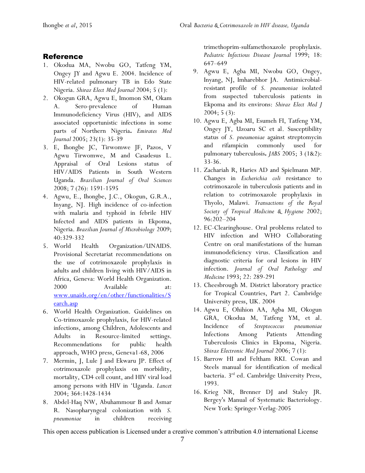#### Reference

- 1. Okodua MA, Nwobu GO, Tatfeng YM, Ongey JY and Agwu E. 2004. Incidence of HIV-related pulmonary TB in Edo State Nigeria. *Shiraz Elect Med Journal* 2004; 5 (1):
- 2. Okogun GRA, Agwu E, Imomon SM, Okam A. Sero-prevalence of Human Immunodeficiency Virus (HIV), and AIDS associated opportunistic infections in some parts of Northern Nigeria**.** *Emirates Med Journal* 2005; 23(1): 35-39
- 3. E, Ihongbe JC, Tirwomwe JF, Pazos, V Agwu Tirwomwe, M and Casadesus L. Appraisal of Oral Lesions status of HIV/AIDS Patients in South Western Uganda. *Brazilian Journal of Oral Sciences* 2008; 7 (26): 1591-1595
- 4. Agwu, E., Ihongbe, J.C., Okogun, G.R.A., Inyang, NJ. High incidence of co-infection with malaria and typhoid in febrile HIV Infected and AIDS patients in Ekpoma, Nigeria. *Brazilian Journal of Microbiology* 2009; 40:329-332
- 5. World Health Organization/UNAIDS. Provisional Secretariat recommendations on the use of cotrimoxazole prophylaxis in adults and children living with HIV/AIDS in Africa, Geneva: World Health Organization. 2000 Available at: [www.unaids.org/en/other/functionalities/S](http://www.unaids.org/en/other/functionalities/Search.asp) [earch.asp](http://www.unaids.org/en/other/functionalities/Search.asp)
- 6. World Health Organization. Guidelines on Co-trimoxazole prophylaxis, for HIV-related infections, among Children, Adolescents and Adults in Resource-limited settings. Recommendations for public health approach, WHO press, Geneva1-68, 2006
- 7. Mermin, J, Lule J and Ekwaru JP. Effect of cotrimoxazole prophylaxis on morbidity, mortality, CD4 cell count, and HIV viral load among persons with HIV in 'Uganda. *Lancet* 2004; 364:1428-1434
- 8. Abdel-Haq NW, Abuhammour B and Asmar R. Nasopharyngeal colonization with *S. pneumoniae* in children receiving

trimethoprim-sulfamethoxazole prophylaxis. *Pediatric Infectious Disease Journal* 1999; 18: 647–649

- 9. Agwu E, Agba MI, Nwobu GO, Ongey, Inyang, NJ, Imharebhor JA. Antimicrobialresistant profile of *S. pneumoniae* isolated from suspected tuberculosis patients in Ekpoma and its environs: *Shiraz Elect Med J* 2004; 5 (3):
- 10. Agwu E, Agba MI, Esumeh FI, Tatfeng YM, Ongey JY, Uzoaru SC et al. Susceptibility status of *S. pneumoniae* against streptomycin and rifampicin commonly used for pulmonary tuberculosis**.** *JABS* 2005; 3 (1&2): 33-36.
- 11. Zachariah R, Haries AD and Spielmann MP. Changes in *Escherichia coli* resistance to cotrimoxazole in tuberculosis patients and in relation to cotrimoxazole prophylaxis in Thyolo, Malawi. *Transactions of the Royal Society of Tropical Medicine & Hygiene* 2002; 96:202–204
- 12. EC-Clearinghouse. Oral problems related to HIV infection and WHO Collaborating Centre on oral manifestations of the human immunodeficiency virus. Classification and diagnostic criteria for oral lesions in HIV infection. *Journal of Oral Pathology and Medicine* 1993; 22: 289-291
- 13. Cheesbrough M. District laboratory practice for Tropical Countries, Part 2. Cambridge University press, UK. 2004
- 14. Agwu E, Ohihion AA, Agba MI, Okogun GRA, Okodua M, Tatfeng YM, et al. Incidence of *Streptococcus pneumoniae* Infections Among Patients Attending Tuberculosis Clinics in Ekpoma, Nigeria. *Shiraz Electronic Med Journal* 2006; 7 (1):
- 15. Barrow HI and Feltham RKI. Cowan and Steels manual for identification of medical bacteria. 3rd ed. Cambridge University Press, 1993.
- 16. Krieg NR, Brenner DJ and Staley JR. Bergey's Manual of Systematic Bacteriology. New York: Springer-Verlag-2005